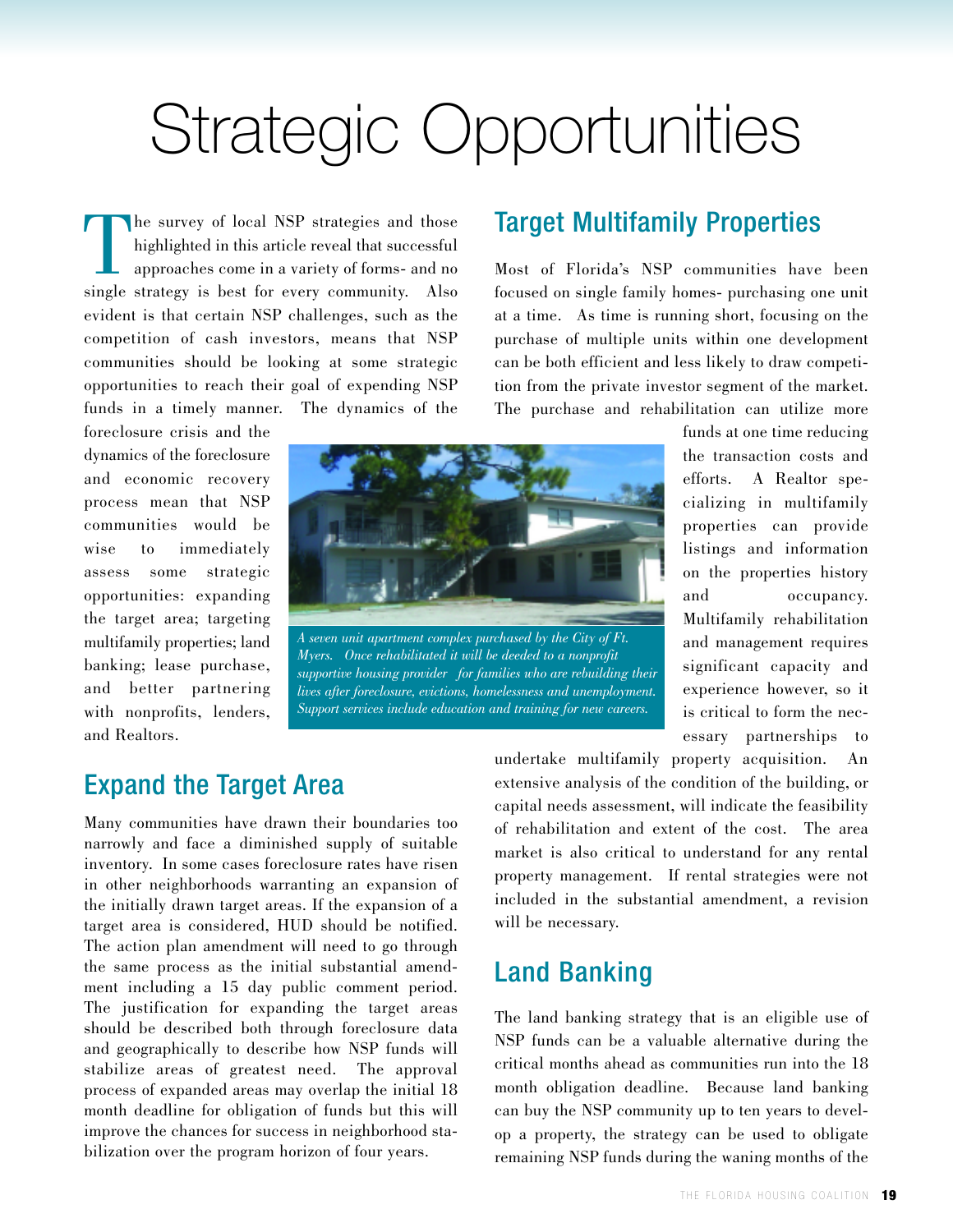# Strategic Opportunities

The survey of local NSP strategies and those highlighted in this article reveal that successful approaches come in a variety of forms- and no single strategy is best for every community. Also evident is that certain NSP challenges, such as the competition of cash investors, means that NSP communities should be looking at some strategic opportunities to reach their goal of expending NSP funds in a timely manner. The dynamics of the

foreclosure crisis and the dynamics of the foreclosure and economic recovery process mean that NSP communities would be wise to immediately assess some strategic opportunities: expanding the target area; targeting multifamily properties; land banking; lease purchase, and better partnering with nonprofits, lenders, and Realtors.



*A seven unit apartment complex purchased by the City of Ft. Myers. Once rehabilitated it will be deeded to a nonprofit supportive housing provider for families who are rebuilding their lives after foreclosure, evictions, homelessness and unemployment. Support services include education and training for new careers.*

#### Target Multifamily Properties

Most of Florida's NSP communities have been focused on single family homes- purchasing one unit at a time. As time is running short, focusing on the purchase of multiple units within one development can be both efficient and less likely to draw competition from the private investor segment of the market. The purchase and rehabilitation can utilize more

> funds at one time reducing the transaction costs and efforts. A Realtor specializing in multifamily properties can provide listings and information on the properties history and occupancy. Multifamily rehabilitation and management requires significant capacity and experience however, so it is critical to form the necessary partnerships to

#### Expand the Target Area

Many communities have drawn their boundaries too narrowly and face a diminished supply of suitable inventory. In some cases foreclosure rates have risen in other neighborhoods warranting an expansion of the initially drawn target areas. If the expansion of a target area is considered, HUD should be notified. The action plan amendment will need to go through the same process as the initial substantial amendment including a 15 day public comment period. The justification for expanding the target areas should be described both through foreclosure data and geographically to describe how NSP funds will stabilize areas of greatest need. The approval process of expanded areas may overlap the initial 18 month deadline for obligation of funds but this will improve the chances for success in neighborhood stabilization over the program horizon of four years.

undertake multifamily property acquisition. An extensive analysis of the condition of the building, or capital needs assessment, will indicate the feasibility of rehabilitation and extent of the cost. The area market is also critical to understand for any rental property management. If rental strategies were not included in the substantial amendment, a revision will be necessary.

#### Land Banking

The land banking strategy that is an eligible use of NSP funds can be a valuable alternative during the critical months ahead as communities run into the 18 month obligation deadline. Because land banking can buy the NSP community up to ten years to develop a property, the strategy can be used to obligate remaining NSP funds during the waning months of the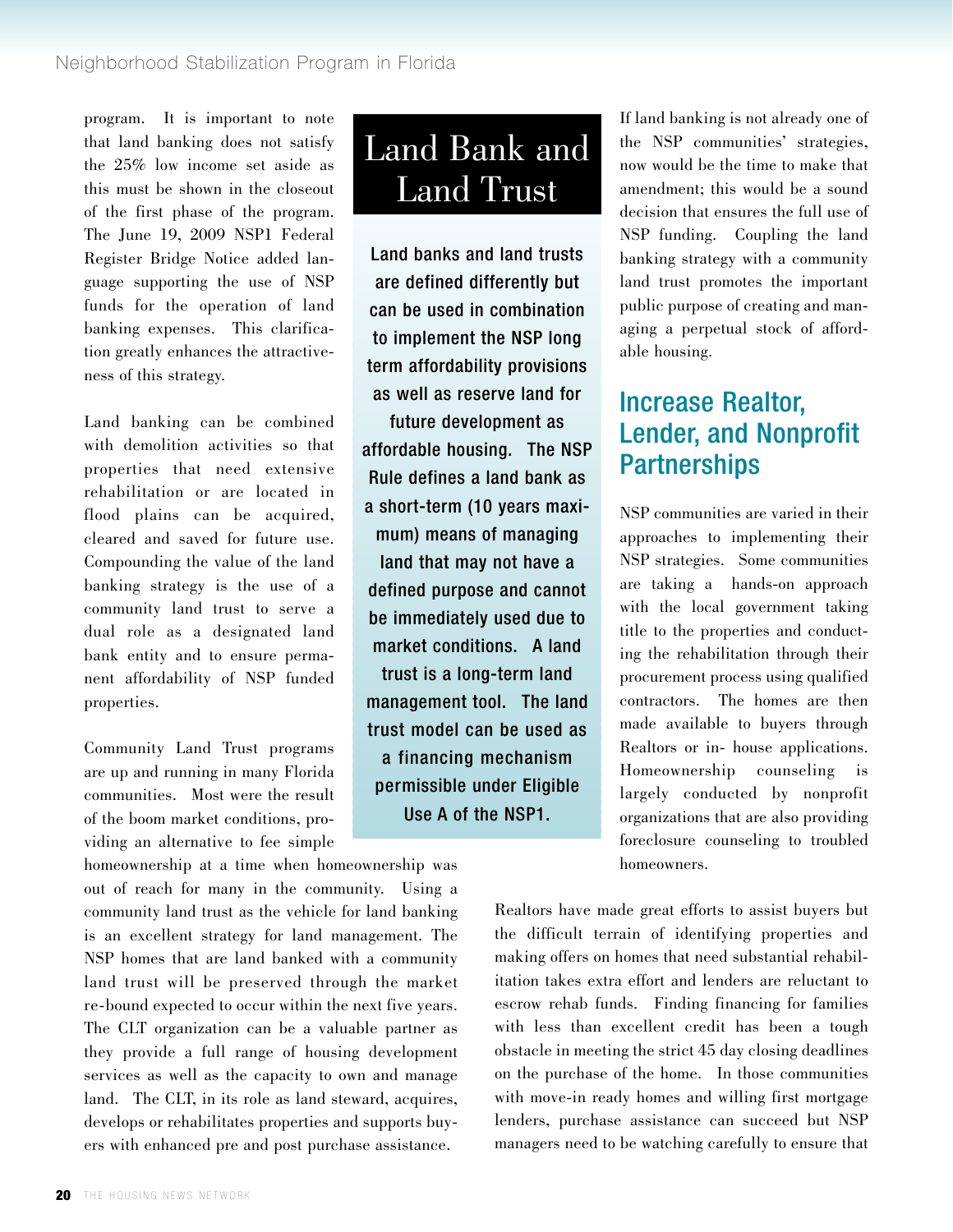program. It is important to note that land banking does not satisfy the 25% low income set aside as this must be shown in the closeout of the first phase of the program. The June 19, 2009 NSP1 Federal Register Bridge Notice added language supporting the use of NSP funds for the operation of land banking expenses. This clarification greatly enhances the attractiveness of this strategy.

Land banking can be combined with demolition activities so that properties that need extensive rehabilitation or are located in flood plains can be acquired, cleared and saved for future use. Compounding the value of the land banking strategy is the use of a community land trust to serve a dual role as a designated land bank entity and to ensure permanent affordability of NSP funded properties.

Community Land Trust programs are up and running in many Florida communities. Most were the result of the boom market conditions, providing an alternative to fee simple

homeownership at a time when homeownership was out of reach for many in the community. Using a community land trust as the vehicle for land banking is an excellent strategy for land management. The NSP homes that are land banked with a community land trust will be preserved through the market re-bound expected to occur within the next five years. The CLT organization can be a valuable partner as they provide a full range of housing development services as well as the capacity to own and manage land. The CLT, in its role as land steward, acquires, develops or rehabilitates properties and supports buyers with enhanced pre and post purchase assistance.

## Land Bank and Land Trust

Land banks and land trusts are defined differently but can be used in combination to implement the NSP long term affordability provisions as well as reserve land for future development as affordable housing. The NSP Rule defines a land bank as a short-term (10 years maximum) means of managing land that may not have a defined purpose and cannot be immediately used due to market conditions. A land trust is a long-term land management tool. The land trust model can be used as a financing mechanism permissible under Eligible Use A of the NSP1.

If land banking is not already one of the NSP communities' strategies, now would be the time to make that amendment; this would be a sound decision that ensures the full use of NSP funding. Coupling the land banking strategy with a community land trust promotes the important public purpose of creating and managing a perpetual stock of affordable housing.

### Increase Realtor, Lender, and Nonprofit **Partnerships**

NSP communities are varied in their approaches to implementing their NSP strategies. Some communities are taking a hands-on approach with the local government taking title to the properties and conducting the rehabilitation through their procurement process using qualified contractors. The homes are then made available to buyers through Realtors or in- house applications. Homeownership counseling is largely conducted by nonprofit organizations that are also providing foreclosure counseling to troubled homeowners.

Realtors have made great efforts to assist buyers but the difficult terrain of identifying properties and making offers on homes that need substantial rehabilitation takes extra effort and lenders are reluctant to escrow rehab funds. Finding financing for families with less than excellent credit has been a tough obstacle in meeting the strict 45 day closing deadlines on the purchase of the home. In those communities with move-in ready homes and willing first mortgage lenders, purchase assistance can succeed but NSP managers need to be watching carefully to ensure that